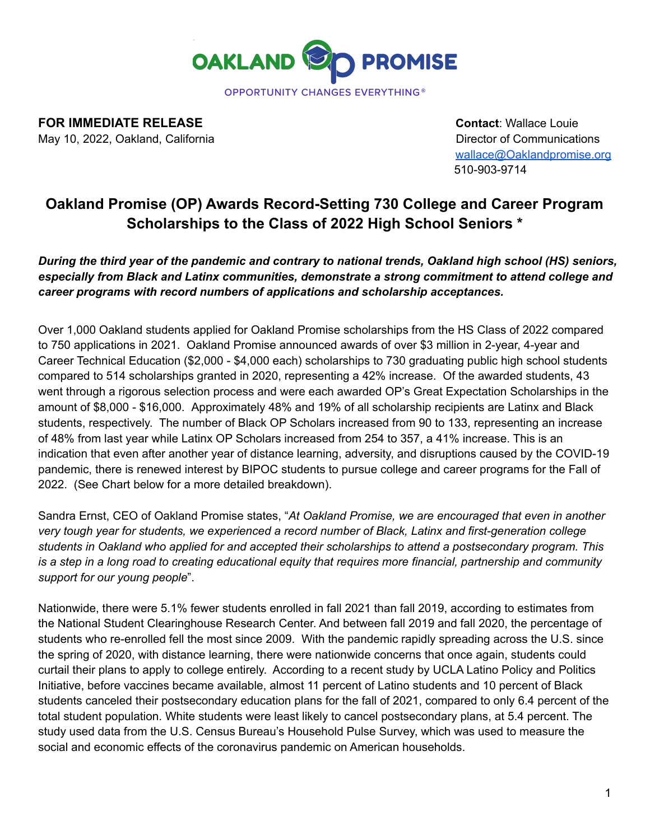

**FOR IMMEDIATE RELEASE CONTACT ACCOUNT ACCOUNT ACCOUNT ACCOUNT ACCOUNT ACCOUNT ACCOUNT ACCOUNT ACCOUNT ACCOUNT** 

May 10, 2022, Oakland, California Director of Communications Director of Communications [wallace@Oaklandpromise.org](mailto:wallace@Oaklandpromise.org) 510-903-9714

# **Oakland Promise (OP) Awards Record-Setting 730 College and Career Program Scholarships to the Class of 2022 High School Seniors \***

*During the third year of the pandemic and contrary to national trends, Oakland high school (HS) seniors, especially from Black and Latinx communities, demonstrate a strong commitment to attend college and career programs with record numbers of applications and scholarship acceptances.*

Over 1,000 Oakland students applied for Oakland Promise scholarships from the HS Class of 2022 compared to 750 applications in 2021. Oakland Promise announced awards of over \$3 million in 2-year, 4-year and Career Technical Education (\$2,000 - \$4,000 each) scholarships to 730 graduating public high school students compared to 514 scholarships granted in 2020, representing a 42% increase. Of the awarded students, 43 went through a rigorous selection process and were each awarded OP's Great Expectation Scholarships in the amount of \$8,000 - \$16,000. Approximately 48% and 19% of all scholarship recipients are Latinx and Black students, respectively. The number of Black OP Scholars increased from 90 to 133, representing an increase of 48% from last year while Latinx OP Scholars increased from 254 to 357, a 41% increase. This is an indication that even after another year of distance learning, adversity, and disruptions caused by the COVID-19 pandemic, there is renewed interest by BIPOC students to pursue college and career programs for the Fall of 2022. (See Chart below for a more detailed breakdown).

Sandra Ernst, CEO of Oakland Promise states, "*At Oakland Promise, we are encouraged that even in another very tough year for students, we experienced a record number of Black, Latinx and first-generation college students in Oakland who applied for and accepted their scholarships to attend a postsecondary program. This* is a step in a long road to creating educational equity that requires more financial, partnership and community *support for our young people*".

Nationwide, there were 5.1% fewer students enrolled in fall 2021 than fall 2019, according to estimates from the National Student Clearinghouse Research Center. And between fall 2019 and fall 2020, the percentage of students who re-enrolled fell the most since 2009. With the pandemic rapidly spreading across the U.S. since the spring of 2020, with distance learning, there were nationwide concerns that once again, students could curtail their plans to apply to college entirely. According to a recent study by UCLA Latino Policy and Politics Initiative, before vaccines became available, almost 11 percent of Latino students and 10 percent of Black students canceled their postsecondary education plans for the fall of 2021, compared to only 6.4 percent of the total student population. White students were least likely to cancel postsecondary plans, at 5.4 percent. The study used data from the U.S. Census Bureau's Household Pulse Survey, which was used to measure the social and economic effects of the coronavirus pandemic on American households.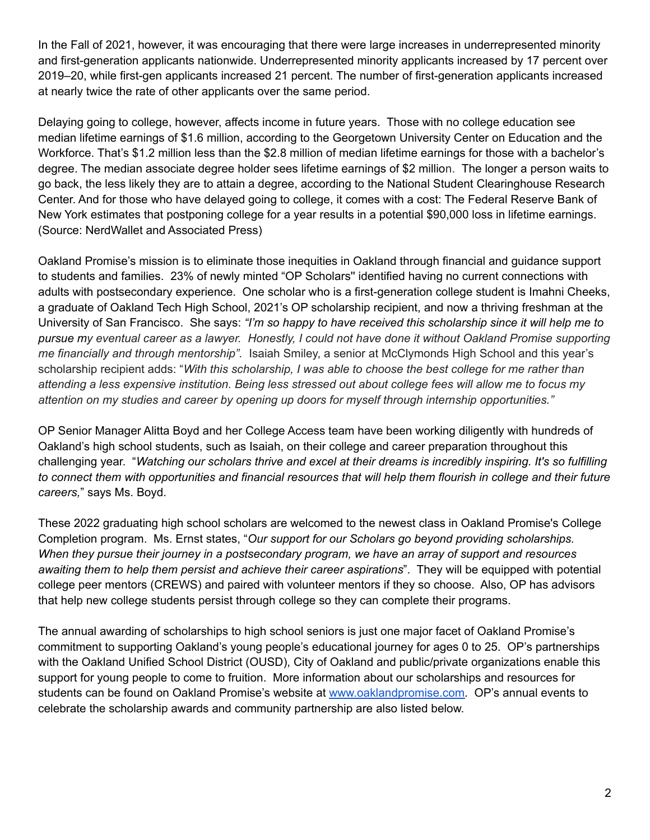In the Fall of 2021, however, it was encouraging that there were large increases in underrepresented minority and first-generation applicants nationwide. Underrepresented minority applicants increased by 17 percent over 2019–20, while first-gen applicants increased 21 percent. The number of first-generation applicants increased at nearly twice the rate of other applicants over the same period.

Delaying going to college, however, affects income in future years. Those with no college education see median lifetime earnings of \$1.6 million, according to the Georgetown University Center on Education and the Workforce. That's \$1.2 million less than the \$2.8 million of median lifetime earnings for those with a bachelor's degree. The median associate degree holder sees lifetime earnings of \$2 million. The longer a person waits to go back, the less likely they are to attain a degree, according to the National Student Clearinghouse Research Center. And for those who have delayed going to college, it comes with a cost: The Federal Reserve Bank of New York estimates that postponing college for a year results in a potential \$90,000 loss in lifetime earnings. (Source: NerdWallet and Associated Press)

Oakland Promise's mission is to eliminate those inequities in Oakland through financial and guidance support to students and families. 23% of newly minted "OP Scholars'' identified having no current connections with adults with postsecondary experience. One scholar who is a first-generation college student is Imahni Cheeks, a graduate of Oakland Tech High School, 2021's OP scholarship recipient, and now a thriving freshman at the University of San Francisco. She says: *"I'm so happy to have received this scholarship since it will help me to* pursue my eventual career as a lawyer. Honestly, I could not have done it without Oakland Promise supporting *me financially and through mentorship".* Isaiah Smiley, a senior at McClymonds High School and this year's scholarship recipient adds: "*With this scholarship, I was able to choose the best college for me rather than* attending a less expensive institution. Being less stressed out about college fees will allow me to focus my *attention on my studies and career by opening up doors for myself through internship opportunities."*

OP Senior Manager Alitta Boyd and her College Access team have been working diligently with hundreds of Oakland's high school students, such as Isaiah, on their college and career preparation throughout this challenging year. "*Watching our scholars thrive and excel at their dreams is incredibly inspiring. It's so fulfilling* to connect them with opportunities and financial resources that will help them flourish in college and their future *careers,*" says Ms. Boyd.

These 2022 graduating high school scholars are welcomed to the newest class in Oakland Promise's College Completion program. Ms. Ernst states, "*Our support for our Scholars go beyond providing scholarships. When they pursue their journey in a postsecondary program, we have an array of support and resources awaiting them to help them persist and achieve their career aspirations*". They will be equipped with potential college peer mentors (CREWS) and paired with volunteer mentors if they so choose. Also, OP has advisors that help new college students persist through college so they can complete their programs.

The annual awarding of scholarships to high school seniors is just one major facet of Oakland Promise's commitment to supporting Oakland's young people's educational journey for ages 0 to 25. OP's partnerships with the Oakland Unified School District (OUSD), City of Oakland and public/private organizations enable this support for young people to come to fruition. More information about our scholarships and resources for students can be found on Oakland Promise's website at [www.oaklandpromise.com.](http://www.oaklandpromise.com) OP's annual events to celebrate the scholarship awards and community partnership are also listed below.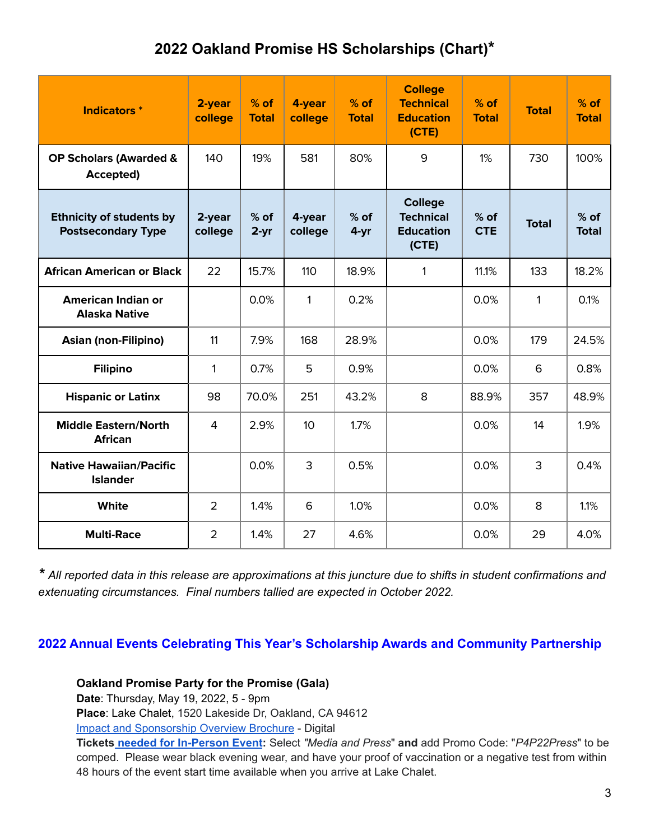# **2022 Oakland Promise HS Scholarships (Chart)\***

| <b>Indicators</b> *                                          | 2-year<br>college | $%$ of<br><b>Total</b> | 4-year<br>college | $%$ of<br><b>Total</b> | <b>College</b><br><b>Technical</b><br><b>Education</b><br>(CTE) | $%$ of<br><b>Total</b> | <b>Total</b> | $%$ of<br><b>Total</b> |
|--------------------------------------------------------------|-------------------|------------------------|-------------------|------------------------|-----------------------------------------------------------------|------------------------|--------------|------------------------|
| <b>OP Scholars (Awarded &amp;</b><br>Accepted)               | 140               | 19%                    | 581               | 80%                    | 9                                                               | 1%                     | 730          | 100%                   |
| <b>Ethnicity of students by</b><br><b>Postsecondary Type</b> | 2-year<br>college | $%$ of<br>$2 - yr$     | 4-year<br>college | $%$ of<br>4-yr         | <b>College</b><br><b>Technical</b><br><b>Education</b><br>(CTE) | $%$ of<br><b>CTE</b>   | <b>Total</b> | $%$ of<br><b>Total</b> |
| <b>African American or Black</b>                             | 22                | 15.7%                  | 110               | 18.9%                  | 1                                                               | 11.1%                  | 133          | 18.2%                  |
| <b>American Indian or</b><br><b>Alaska Native</b>            |                   | 0.0%                   | $\mathbf{1}$      | 0.2%                   |                                                                 | 0.0%                   | 1            | 0.1%                   |
| <b>Asian (non-Filipino)</b>                                  | 11                | 7.9%                   | 168               | 28.9%                  |                                                                 | 0.0%                   | 179          | 24.5%                  |
| <b>Filipino</b>                                              | $\mathbf{1}$      | 0.7%                   | 5                 | 0.9%                   |                                                                 | 0.0%                   | 6            | 0.8%                   |
| <b>Hispanic or Latinx</b>                                    | 98                | 70.0%                  | 251               | 43.2%                  | 8                                                               | 88.9%                  | 357          | 48.9%                  |
| <b>Middle Eastern/North</b><br><b>African</b>                | $\overline{4}$    | 2.9%                   | 10 <sup>°</sup>   | 1.7%                   |                                                                 | 0.0%                   | 14           | 1.9%                   |
| <b>Native Hawaiian/Pacific</b><br><b>Islander</b>            |                   | 0.0%                   | 3                 | 0.5%                   |                                                                 | 0.0%                   | 3            | 0.4%                   |
| <b>White</b>                                                 | $\overline{2}$    | 1.4%                   | 6                 | 1.0%                   |                                                                 | 0.0%                   | 8            | 1.1%                   |
| <b>Multi-Race</b>                                            | $\overline{2}$    | 1.4%                   | 27                | 4.6%                   |                                                                 | 0.0%                   | 29           | 4.0%                   |

\* All reported data in this release are approximations at this juncture due to shifts in student confirmations and *extenuating circumstances. Final numbers tallied are expected in October 2022.*

### **2022 Annual Events Celebrating This Year's Scholarship Awards and Community Partnership**

**Oakland Promise Party for the Promise (Gala)**

**Date**: Thursday, May 19, 2022, 5 - 9pm

**Place**: Lake Chalet, 1520 Lakeside Dr, Oakland, CA 94612

[Impact and Sponsorship Overview Brochure](https://www.flipsnack.com/oaklandpromise/weekend-of-promise-sponsorship-opportunities-2022-zh3495mxu3.html) - Digital

**Tickets [needed for In-Person Event](https://www.classy.org/event/party-for-the-promise-2022/e392962/register/new/select-tickets):** Select *"Media and Press*" **and** add Promo Code: "*P4P22Press*" to be comped. Please wear black evening wear, and have your proof of vaccination or a negative test from within 48 hours of the event start time available when you arrive at Lake Chalet.